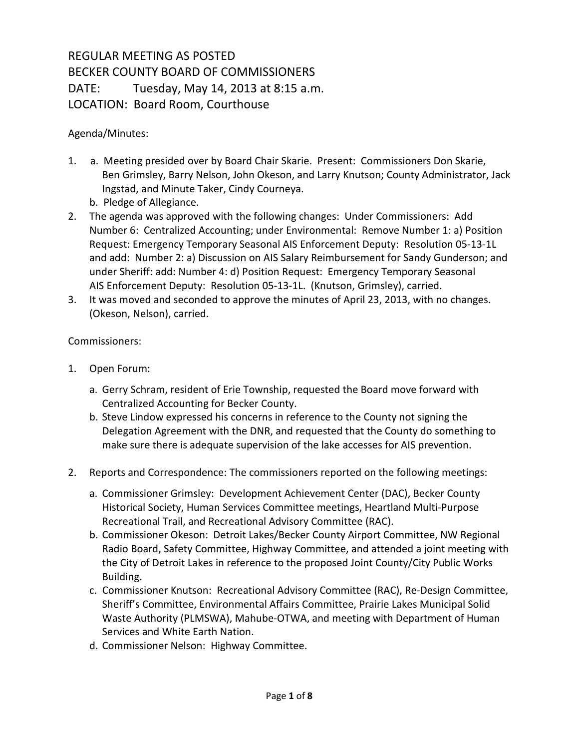## REGULAR MEETING AS POSTED BECKER COUNTY BOARD OF COMMISSIONERS DATE: Tuesday, May 14, 2013 at 8:15 a.m. LOCATION: Board Room, Courthouse

## Agenda/Minutes:

- 1. a. Meeting presided over by Board Chair Skarie. Present: Commissioners Don Skarie, Ben Grimsley, Barry Nelson, John Okeson, and Larry Knutson; County Administrator, Jack Ingstad, and Minute Taker, Cindy Courneya.
	- b. Pledge of Allegiance.
- 2. The agenda was approved with the following changes: Under Commissioners: Add Number 6: Centralized Accounting; under Environmental: Remove Number 1: a) Position Request: Emergency Temporary Seasonal AIS Enforcement Deputy: Resolution 05-13-1L and add: Number 2: a) Discussion on AIS Salary Reimbursement for Sandy Gunderson; and under Sheriff: add: Number 4: d) Position Request: Emergency Temporary Seasonal AIS Enforcement Deputy: Resolution 05-13-1L. (Knutson, Grimsley), carried.
- 3. It was moved and seconded to approve the minutes of April 23, 2013, with no changes. (Okeson, Nelson), carried.

## Commissioners:

- 1. Open Forum:
	- a. Gerry Schram, resident of Erie Township, requested the Board move forward with Centralized Accounting for Becker County.
	- b. Steve Lindow expressed his concerns in reference to the County not signing the Delegation Agreement with the DNR, and requested that the County do something to make sure there is adequate supervision of the lake accesses for AIS prevention.
- 2. Reports and Correspondence: The commissioners reported on the following meetings:
	- a. Commissioner Grimsley: Development Achievement Center (DAC), Becker County Historical Society, Human Services Committee meetings, Heartland Multi-Purpose Recreational Trail, and Recreational Advisory Committee (RAC).
	- b. Commissioner Okeson: Detroit Lakes/Becker County Airport Committee, NW Regional Radio Board, Safety Committee, Highway Committee, and attended a joint meeting with the City of Detroit Lakes in reference to the proposed Joint County/City Public Works Building.
	- c. Commissioner Knutson: Recreational Advisory Committee (RAC), Re-Design Committee, Sheriff's Committee, Environmental Affairs Committee, Prairie Lakes Municipal Solid Waste Authority (PLMSWA), Mahube-OTWA, and meeting with Department of Human Services and White Earth Nation.
	- d. Commissioner Nelson: Highway Committee.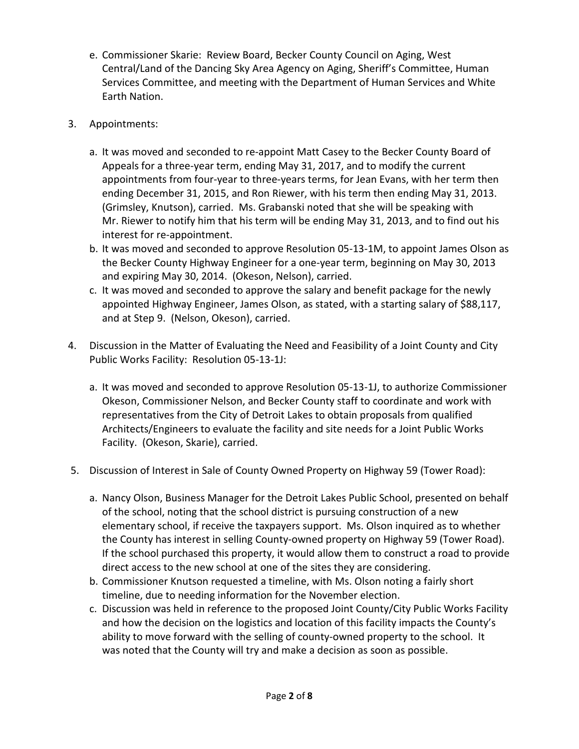- e. Commissioner Skarie: Review Board, Becker County Council on Aging, West Central/Land of the Dancing Sky Area Agency on Aging, Sheriff's Committee, Human Services Committee, and meeting with the Department of Human Services and White Earth Nation.
- 3. Appointments:
	- a. It was moved and seconded to re-appoint Matt Casey to the Becker County Board of Appeals for a three-year term, ending May 31, 2017, and to modify the current appointments from four-year to three-years terms, for Jean Evans, with her term then ending December 31, 2015, and Ron Riewer, with his term then ending May 31, 2013. (Grimsley, Knutson), carried. Ms. Grabanski noted that she will be speaking with Mr. Riewer to notify him that his term will be ending May 31, 2013, and to find out his interest for re-appointment.
	- b. It was moved and seconded to approve Resolution 05-13-1M, to appoint James Olson as the Becker County Highway Engineer for a one-year term, beginning on May 30, 2013 and expiring May 30, 2014. (Okeson, Nelson), carried.
	- c. It was moved and seconded to approve the salary and benefit package for the newly appointed Highway Engineer, James Olson, as stated, with a starting salary of \$88,117, and at Step 9. (Nelson, Okeson), carried.
- 4. Discussion in the Matter of Evaluating the Need and Feasibility of a Joint County and City Public Works Facility: Resolution 05-13-1J:
	- a. It was moved and seconded to approve Resolution 05-13-1J, to authorize Commissioner Okeson, Commissioner Nelson, and Becker County staff to coordinate and work with representatives from the City of Detroit Lakes to obtain proposals from qualified Architects/Engineers to evaluate the facility and site needs for a Joint Public Works Facility. (Okeson, Skarie), carried.
- 5. Discussion of Interest in Sale of County Owned Property on Highway 59 (Tower Road):
	- a. Nancy Olson, Business Manager for the Detroit Lakes Public School, presented on behalf of the school, noting that the school district is pursuing construction of a new elementary school, if receive the taxpayers support. Ms. Olson inquired as to whether the County has interest in selling County-owned property on Highway 59 (Tower Road). If the school purchased this property, it would allow them to construct a road to provide direct access to the new school at one of the sites they are considering.
	- b. Commissioner Knutson requested a timeline, with Ms. Olson noting a fairly short timeline, due to needing information for the November election.
	- c. Discussion was held in reference to the proposed Joint County/City Public Works Facility and how the decision on the logistics and location of this facility impacts the County's ability to move forward with the selling of county-owned property to the school. It was noted that the County will try and make a decision as soon as possible.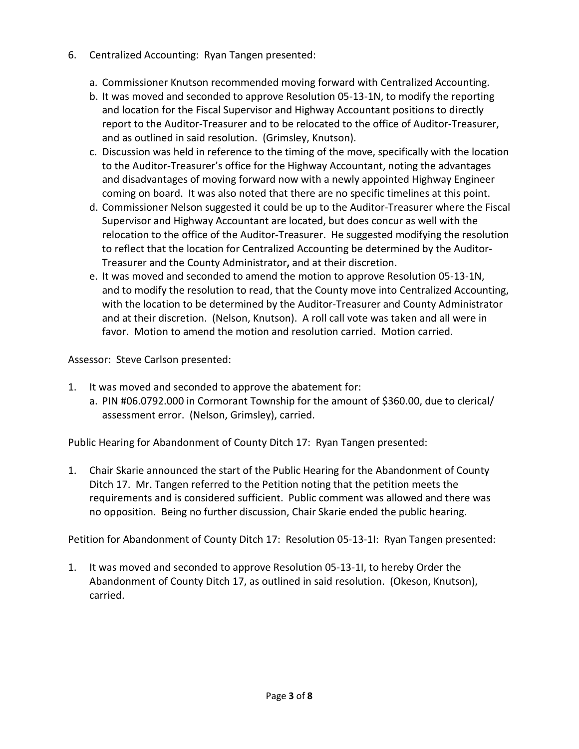- 6. Centralized Accounting: Ryan Tangen presented:
	- a. Commissioner Knutson recommended moving forward with Centralized Accounting.
	- b. It was moved and seconded to approve Resolution 05-13-1N, to modify the reporting and location for the Fiscal Supervisor and Highway Accountant positions to directly report to the Auditor-Treasurer and to be relocated to the office of Auditor-Treasurer, and as outlined in said resolution. (Grimsley, Knutson).
	- c. Discussion was held in reference to the timing of the move, specifically with the location to the Auditor-Treasurer's office for the Highway Accountant, noting the advantages and disadvantages of moving forward now with a newly appointed Highway Engineer coming on board. It was also noted that there are no specific timelines at this point.
	- d. Commissioner Nelson suggested it could be up to the Auditor-Treasurer where the Fiscal Supervisor and Highway Accountant are located, but does concur as well with the relocation to the office of the Auditor-Treasurer. He suggested modifying the resolution to reflect that the location for Centralized Accounting be determined by the Auditor-Treasurer and the County Administrator**,** and at their discretion.
	- e. It was moved and seconded to amend the motion to approve Resolution 05-13-1N, and to modify the resolution to read, that the County move into Centralized Accounting, with the location to be determined by the Auditor-Treasurer and County Administrator and at their discretion. (Nelson, Knutson). A roll call vote was taken and all were in favor. Motion to amend the motion and resolution carried. Motion carried.

Assessor: Steve Carlson presented:

- 1. It was moved and seconded to approve the abatement for:
	- a. PIN #06.0792.000 in Cormorant Township for the amount of \$360.00, due to clerical/ assessment error. (Nelson, Grimsley), carried.

Public Hearing for Abandonment of County Ditch 17: Ryan Tangen presented:

1. Chair Skarie announced the start of the Public Hearing for the Abandonment of County Ditch 17. Mr. Tangen referred to the Petition noting that the petition meets the requirements and is considered sufficient. Public comment was allowed and there was no opposition. Being no further discussion, Chair Skarie ended the public hearing.

Petition for Abandonment of County Ditch 17: Resolution 05-13-1I: Ryan Tangen presented:

1. It was moved and seconded to approve Resolution 05-13-1I, to hereby Order the Abandonment of County Ditch 17, as outlined in said resolution. (Okeson, Knutson), carried.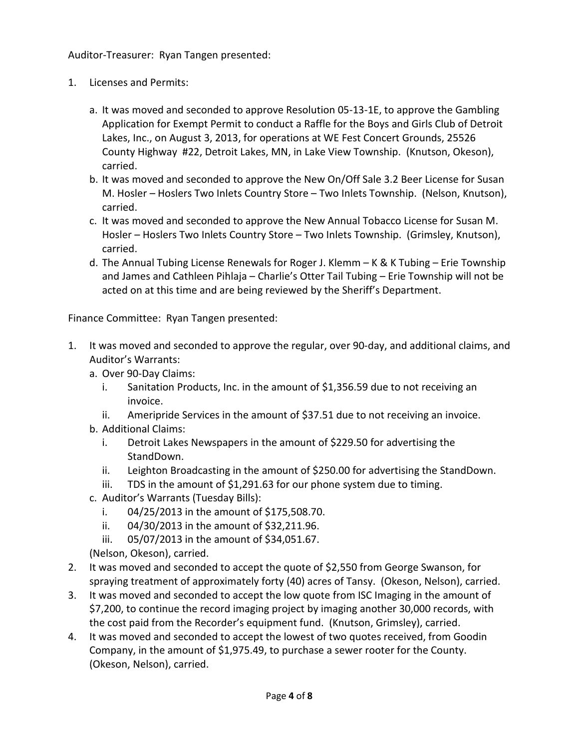Auditor-Treasurer: Ryan Tangen presented:

- 1. Licenses and Permits:
	- a. It was moved and seconded to approve Resolution 05-13-1E, to approve the Gambling Application for Exempt Permit to conduct a Raffle for the Boys and Girls Club of Detroit Lakes, Inc., on August 3, 2013, for operations at WE Fest Concert Grounds, 25526 County Highway #22, Detroit Lakes, MN, in Lake View Township. (Knutson, Okeson), carried.
	- b. It was moved and seconded to approve the New On/Off Sale 3.2 Beer License for Susan M. Hosler – Hoslers Two Inlets Country Store – Two Inlets Township. (Nelson, Knutson), carried.
	- c. It was moved and seconded to approve the New Annual Tobacco License for Susan M. Hosler – Hoslers Two Inlets Country Store – Two Inlets Township. (Grimsley, Knutson), carried.
	- d. The Annual Tubing License Renewals for Roger J. Klemm K & K Tubing Erie Township and James and Cathleen Pihlaja – Charlie's Otter Tail Tubing – Erie Township will not be acted on at this time and are being reviewed by the Sheriff's Department.

Finance Committee: Ryan Tangen presented:

- 1. It was moved and seconded to approve the regular, over 90-day, and additional claims, and Auditor's Warrants:
	- a. Over 90-Day Claims:
		- i. Sanitation Products, Inc. in the amount of \$1,356.59 due to not receiving an invoice.
		- ii. Ameripride Services in the amount of \$37.51 due to not receiving an invoice.
	- b. Additional Claims:
		- i. Detroit Lakes Newspapers in the amount of \$229.50 for advertising the StandDown.
		- ii. Leighton Broadcasting in the amount of \$250.00 for advertising the StandDown.
		- iii. TDS in the amount of \$1,291.63 for our phone system due to timing.
	- c. Auditor's Warrants (Tuesday Bills):
		- i. 04/25/2013 in the amount of \$175,508.70.
		- ii. 04/30/2013 in the amount of \$32,211.96.
		- iii. 05/07/2013 in the amount of \$34,051.67.

(Nelson, Okeson), carried.

- 2. It was moved and seconded to accept the quote of \$2,550 from George Swanson, for spraying treatment of approximately forty (40) acres of Tansy. (Okeson, Nelson), carried.
- 3. It was moved and seconded to accept the low quote from ISC Imaging in the amount of \$7,200, to continue the record imaging project by imaging another 30,000 records, with the cost paid from the Recorder's equipment fund. (Knutson, Grimsley), carried.
- 4. It was moved and seconded to accept the lowest of two quotes received, from Goodin Company, in the amount of \$1,975.49, to purchase a sewer rooter for the County. (Okeson, Nelson), carried.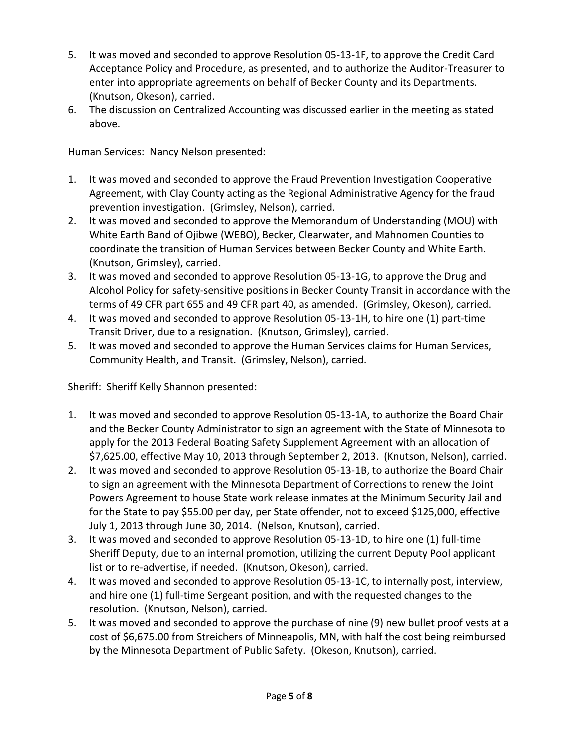- 5. It was moved and seconded to approve Resolution 05-13-1F, to approve the Credit Card Acceptance Policy and Procedure, as presented, and to authorize the Auditor-Treasurer to enter into appropriate agreements on behalf of Becker County and its Departments. (Knutson, Okeson), carried.
- 6. The discussion on Centralized Accounting was discussed earlier in the meeting as stated above.

Human Services: Nancy Nelson presented:

- 1. It was moved and seconded to approve the Fraud Prevention Investigation Cooperative Agreement, with Clay County acting as the Regional Administrative Agency for the fraud prevention investigation. (Grimsley, Nelson), carried.
- 2. It was moved and seconded to approve the Memorandum of Understanding (MOU) with White Earth Band of Ojibwe (WEBO), Becker, Clearwater, and Mahnomen Counties to coordinate the transition of Human Services between Becker County and White Earth. (Knutson, Grimsley), carried.
- 3. It was moved and seconded to approve Resolution 05-13-1G, to approve the Drug and Alcohol Policy for safety-sensitive positions in Becker County Transit in accordance with the terms of 49 CFR part 655 and 49 CFR part 40, as amended. (Grimsley, Okeson), carried.
- 4. It was moved and seconded to approve Resolution 05-13-1H, to hire one (1) part-time Transit Driver, due to a resignation. (Knutson, Grimsley), carried.
- 5. It was moved and seconded to approve the Human Services claims for Human Services, Community Health, and Transit. (Grimsley, Nelson), carried.

Sheriff: Sheriff Kelly Shannon presented:

- 1. It was moved and seconded to approve Resolution 05-13-1A, to authorize the Board Chair and the Becker County Administrator to sign an agreement with the State of Minnesota to apply for the 2013 Federal Boating Safety Supplement Agreement with an allocation of \$7,625.00, effective May 10, 2013 through September 2, 2013. (Knutson, Nelson), carried.
- 2. It was moved and seconded to approve Resolution 05-13-1B, to authorize the Board Chair to sign an agreement with the Minnesota Department of Corrections to renew the Joint Powers Agreement to house State work release inmates at the Minimum Security Jail and for the State to pay \$55.00 per day, per State offender, not to exceed \$125,000, effective July 1, 2013 through June 30, 2014. (Nelson, Knutson), carried.
- 3. It was moved and seconded to approve Resolution 05-13-1D, to hire one (1) full-time Sheriff Deputy, due to an internal promotion, utilizing the current Deputy Pool applicant list or to re-advertise, if needed. (Knutson, Okeson), carried.
- 4. It was moved and seconded to approve Resolution 05-13-1C, to internally post, interview, and hire one (1) full-time Sergeant position, and with the requested changes to the resolution. (Knutson, Nelson), carried.
- 5. It was moved and seconded to approve the purchase of nine (9) new bullet proof vests at a cost of \$6,675.00 from Streichers of Minneapolis, MN, with half the cost being reimbursed by the Minnesota Department of Public Safety. (Okeson, Knutson), carried.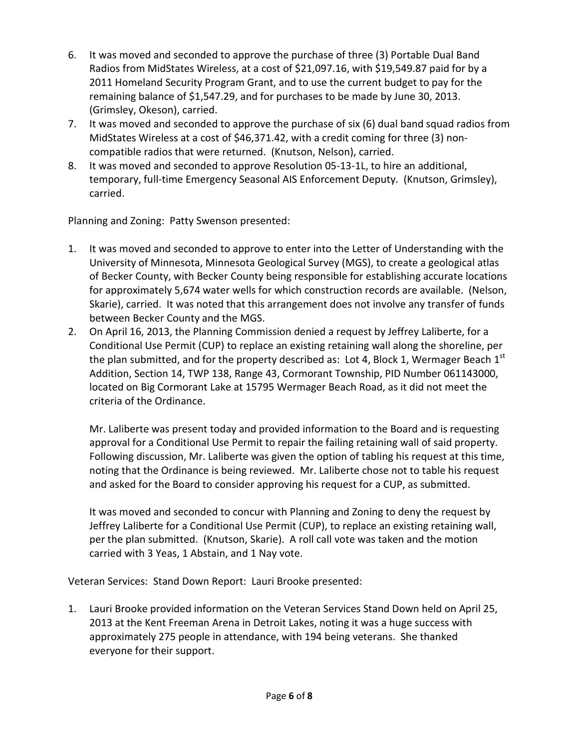- 6. It was moved and seconded to approve the purchase of three (3) Portable Dual Band Radios from MidStates Wireless, at a cost of \$21,097.16, with \$19,549.87 paid for by a 2011 Homeland Security Program Grant, and to use the current budget to pay for the remaining balance of \$1,547.29, and for purchases to be made by June 30, 2013. (Grimsley, Okeson), carried.
- 7. It was moved and seconded to approve the purchase of six (6) dual band squad radios from MidStates Wireless at a cost of \$46,371.42, with a credit coming for three (3) noncompatible radios that were returned. (Knutson, Nelson), carried.
- 8. It was moved and seconded to approve Resolution 05-13-1L, to hire an additional, temporary, full-time Emergency Seasonal AIS Enforcement Deputy. (Knutson, Grimsley), carried.

Planning and Zoning: Patty Swenson presented:

- 1. It was moved and seconded to approve to enter into the Letter of Understanding with the University of Minnesota, Minnesota Geological Survey (MGS), to create a geological atlas of Becker County, with Becker County being responsible for establishing accurate locations for approximately 5,674 water wells for which construction records are available. (Nelson, Skarie), carried. It was noted that this arrangement does not involve any transfer of funds between Becker County and the MGS.
- 2. On April 16, 2013, the Planning Commission denied a request by Jeffrey Laliberte, for a Conditional Use Permit (CUP) to replace an existing retaining wall along the shoreline, per the plan submitted, and for the property described as: Lot 4, Block 1, Wermager Beach  $1<sup>st</sup>$ Addition, Section 14, TWP 138, Range 43, Cormorant Township, PID Number 061143000, located on Big Cormorant Lake at 15795 Wermager Beach Road, as it did not meet the criteria of the Ordinance.

Mr. Laliberte was present today and provided information to the Board and is requesting approval for a Conditional Use Permit to repair the failing retaining wall of said property. Following discussion, Mr. Laliberte was given the option of tabling his request at this time, noting that the Ordinance is being reviewed. Mr. Laliberte chose not to table his request and asked for the Board to consider approving his request for a CUP, as submitted.

It was moved and seconded to concur with Planning and Zoning to deny the request by Jeffrey Laliberte for a Conditional Use Permit (CUP), to replace an existing retaining wall, per the plan submitted. (Knutson, Skarie). A roll call vote was taken and the motion carried with 3 Yeas, 1 Abstain, and 1 Nay vote.

Veteran Services: Stand Down Report: Lauri Brooke presented:

1. Lauri Brooke provided information on the Veteran Services Stand Down held on April 25, 2013 at the Kent Freeman Arena in Detroit Lakes, noting it was a huge success with approximately 275 people in attendance, with 194 being veterans. She thanked everyone for their support.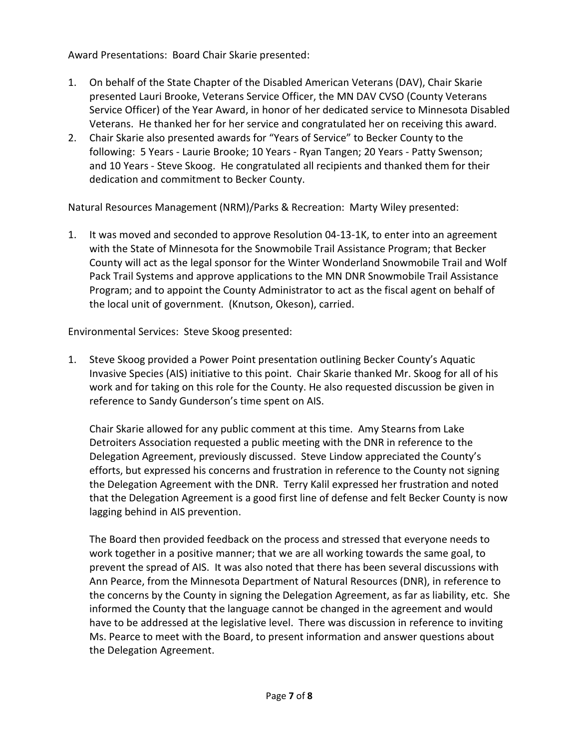Award Presentations: Board Chair Skarie presented:

- 1. On behalf of the State Chapter of the Disabled American Veterans (DAV), Chair Skarie presented Lauri Brooke, Veterans Service Officer, the MN DAV CVSO (County Veterans Service Officer) of the Year Award, in honor of her dedicated service to Minnesota Disabled Veterans. He thanked her for her service and congratulated her on receiving this award.
- 2. Chair Skarie also presented awards for "Years of Service" to Becker County to the following: 5 Years - Laurie Brooke; 10 Years - Ryan Tangen; 20 Years - Patty Swenson; and 10 Years - Steve Skoog. He congratulated all recipients and thanked them for their dedication and commitment to Becker County.

Natural Resources Management (NRM)/Parks & Recreation: Marty Wiley presented:

1. It was moved and seconded to approve Resolution 04-13-1K, to enter into an agreement with the State of Minnesota for the Snowmobile Trail Assistance Program; that Becker County will act as the legal sponsor for the Winter Wonderland Snowmobile Trail and Wolf Pack Trail Systems and approve applications to the MN DNR Snowmobile Trail Assistance Program; and to appoint the County Administrator to act as the fiscal agent on behalf of the local unit of government. (Knutson, Okeson), carried.

Environmental Services: Steve Skoog presented:

1. Steve Skoog provided a Power Point presentation outlining Becker County's Aquatic Invasive Species (AIS) initiative to this point. Chair Skarie thanked Mr. Skoog for all of his work and for taking on this role for the County. He also requested discussion be given in reference to Sandy Gunderson's time spent on AIS.

Chair Skarie allowed for any public comment at this time. Amy Stearns from Lake Detroiters Association requested a public meeting with the DNR in reference to the Delegation Agreement, previously discussed. Steve Lindow appreciated the County's efforts, but expressed his concerns and frustration in reference to the County not signing the Delegation Agreement with the DNR. Terry Kalil expressed her frustration and noted that the Delegation Agreement is a good first line of defense and felt Becker County is now lagging behind in AIS prevention.

The Board then provided feedback on the process and stressed that everyone needs to work together in a positive manner; that we are all working towards the same goal, to prevent the spread of AIS. It was also noted that there has been several discussions with Ann Pearce, from the Minnesota Department of Natural Resources (DNR), in reference to the concerns by the County in signing the Delegation Agreement, as far as liability, etc. She informed the County that the language cannot be changed in the agreement and would have to be addressed at the legislative level. There was discussion in reference to inviting Ms. Pearce to meet with the Board, to present information and answer questions about the Delegation Agreement.